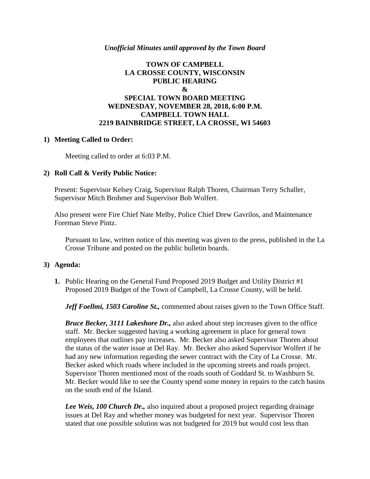## *Unofficial Minutes until approved by the Town Board*

# **TOWN OF CAMPBELL LA CROSSE COUNTY, WISCONSIN PUBLIC HEARING & SPECIAL TOWN BOARD MEETING WEDNESDAY, NOVEMBER 28, 2018, 6:00 P.M. CAMPBELL TOWN HALL 2219 BAINBRIDGE STREET, LA CROSSE, WI 54603**

## **1) Meeting Called to Order:**

Meeting called to order at 6:03 P.M.

## **2) Roll Call & Verify Public Notice:**

Present: Supervisor Kelsey Craig, Supervisor Ralph Thoren, Chairman Terry Schaller, Supervisor Mitch Brohmer and Supervisor Bob Wolfert.

Also present were Fire Chief Nate Melby, Police Chief Drew Gavrilos, and Maintenance Foreman Steve Pintz.

Pursuant to law, written notice of this meeting was given to the press, published in the La Crosse Tribune and posted on the public bulletin boards.

#### **3) Agenda:**

**1.** Public Hearing on the General Fund Proposed 2019 Budget and Utility District #1 Proposed 2019 Budget of the Town of Campbell, La Crosse County, will be held.

*Jeff Foellmi, 1503 Caroline St.,* commented about raises given to the Town Office Staff.

*Bruce Becker, 3111 Lakeshore Dr.,* also asked about step increases given to the office staff. Mr. Becker suggested having a working agreement in place for general town employees that outlines pay increases. Mr. Becker also asked Supervisor Thoren about the status of the water issue at Del Ray. Mr. Becker also asked Supervisor Wolfert if he had any new information regarding the sewer contract with the City of La Crosse. Mr. Becker asked which roads where included in the upcoming streets and roads project. Supervisor Thoren mentioned most of the roads south of Goddard St. to Washburn St. Mr. Becker would like to see the County spend some money in repairs to the catch basins on the south end of the Island.

*Lee Weis, 100 Church Dr.,* also inquired about a proposed project regarding drainage issues at Del Ray and whether money was budgeted for next year. Supervisor Thoren stated that one possible solution was not budgeted for 2019 but would cost less than